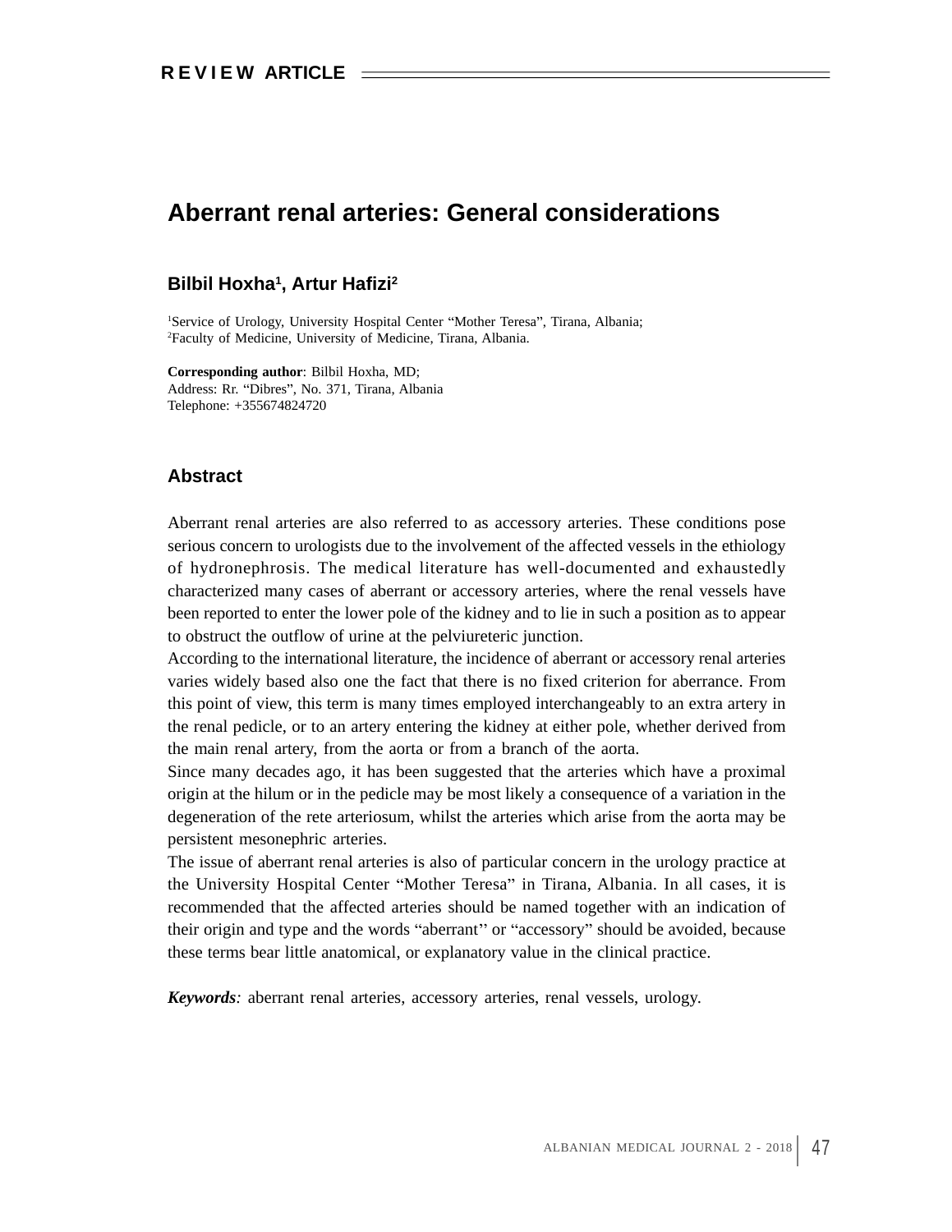# **Aberrant renal arteries: General considerations**

### **Bilbil Hoxha<sup>1</sup>, Artur Hafizi<sup>2</sup> , Artur Hafizi2**

<sup>1</sup>Service of Urology, University Hospital Center "Mother Teresa", Tirana, Albania; 2Faculty of Medicine, University of Medicine, Tirana, Albania.

**Corresponding author**: Bilbil Hoxha, MD; Address: Rr. "Dibres", No. 371, Tirana, Albania Telephone: +355674824720

## **Abstract**

Aberrant renal arteries are also referred to as accessory arteries. These conditions pose serious concern to urologists due to the involvement of the affected vessels in the ethiology of hydronephrosis. The medical literature haswell-documented and exhaustedly characterized many cases of aberrant or accessory arteries, where the renal vessels have been reported to enter the lower pole of the kidney and to lie in such a position as to appear to obstruct the outflow of urine at the pelviureteric junction.

According to the international literature, the incidence of aberrant or accessory renal arteries varies widely based also one the fact that there is no fixed criterion for aberrance. From this point of view, this term is many times employed interchangeably to an extra artery in the renal pedicle, or to an artery entering the kidney at either pole, whether derived from the main renal artery, from the aorta or from a branch of the aorta.

Since many decades ago, it has been suggested that the arteries which have a proximal origin at the hilum or in the pedicle may be most likely a consequence of a variation in the degeneration of the rete arteriosum, whilst the arteries which arise from the aorta may be persistent mesonephric arteries.

The issue of aberrant renal arteries is also of particular concern in the urology practice at the University Hospital Center "Mother Teresa" in Tirana, Albania. In all cases, it is recommended that the affected arteries should be named together with an indication of their origin and type and the words "aberrant" or "accessory" should be avoided, because these terms bear little anatomical, or explanatory value in the clinical practice.

*Keywords:* aberrant renal arteries, accessory arteries, renal vessels, urology.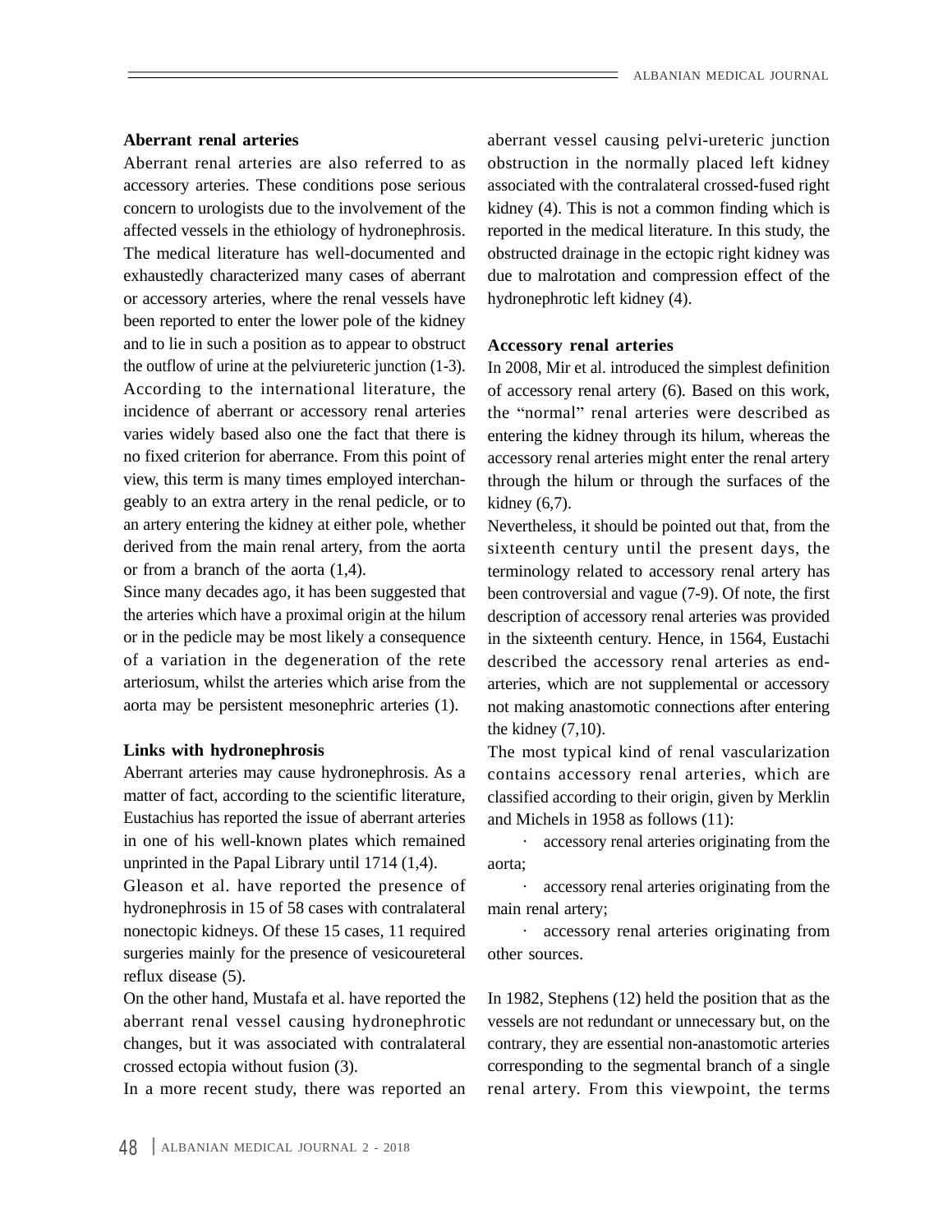concern to urologists due to the involvement of the or accessory arteries, where the renal vessels have been reported to enter the lower pole of the kidney and to lie in such a position as to appear to obstruct the outflow of urine at the pelviureteric junction (1-3). In 2008, Mir et al. introduced the simplest definition incidence of aberrant or accessory renal arteries geably to an extra artery in the renal pedicle, or to an artery entering the kidney at either pole, whether Nevertheless, it should be pointed out that, from the derived from the main renal artery, from the aorta

aorta may be persistent mesonephric arteries (1).

Aberrant arteries may cause hydronephrosis. As a Eustachius has reported the issue of aberrant arteries in one of his well-known plates which remained unprinted in the Papal Library until 1714 (1,4).

Gleason et al. have reported the presence of hydronephrosis in 15 of 58 cases with contralateral main renal artery; nonectopic kidneys. Of these 15 cases, 11 required eccessory renal arteries originating from surgeries mainly for the presence of vesicoureteral other sources. reflux disease (5).

changes, but it was associated with contralateral

In a more recent study, there was reported an

**Aberrant renal arteries** aberrant vessel causing pelvi-ureteric junction Aberrant renal arteries are also referred to as obstruction in the normally placed left kidney accessory arteries. These conditions pose serious associated with the contralateral crossed-fused right affected vessels in the ethiology of hydronephrosis. reported in the medical literature. In this study, the The medical literature has well-documented and obstructed drainage in the ectopic right kidney was exhaustedly characterized many cases of aberrant due to malrotation and compression effect of the kidney (4). This is not a common finding which is hydronephrotic left kidney (4).

### **Accessory renal arteries**

According to the international literature, the of accessory renal artery (6). Based on this work, varies widely based also one the fact that there is entering the kidney through its hilum, whereas the no fixed criterion for aberrance. From this point of accessory renal arteries might enter the renal artery view, this term is many times employed interchan- through the hilum or through the surfaces of the the "normal" renal arteries were described as  $kidney(6,7)$ .

or from a branch of the aorta (1,4). terminology related to accessory renal artery has Since many decades ago, it has been suggested that been controversial and vague (7-9). Of note, the first the arteries which have a proximal origin at the hilum description of accessory renal arteries was provided or in the pedicle may be most likely a consequence in the sixteenth century. Hence, in 1564, Eustachi of a variation in the degeneration of the rete described the accessory renal arteries as end arteriosum, whilst the arteries which arise from the arteries, which are not supplemental or accessory sixteenth century until the present days, the not making anastomotic connections after entering the kidney (7,10).

**Links with hydronephrosis** The most typical kind of renal vascularization matter of fact, according to the scientific literature, classified according to their origin, given by Merklin contains accessory renal arteries, which are and Michels in 1958 as follows (11):

> accessory renal arteries originating from the aorta;

accessory renal arteries originating from the main renal artery;

· accessory renal arteries originating from other sources.

On the other hand, Mustafa et al. have reported the In 1982, Stephens (12) held the position that as the aberrant renal vessel causing hydronephrotic vessels are not redundant or unnecessary but, on the crossed ectopia without fusion (3). corresponding to the segmental branch of a single contrary, they are essential non-anastomotic arteries renal artery. From this viewpoint, the terms